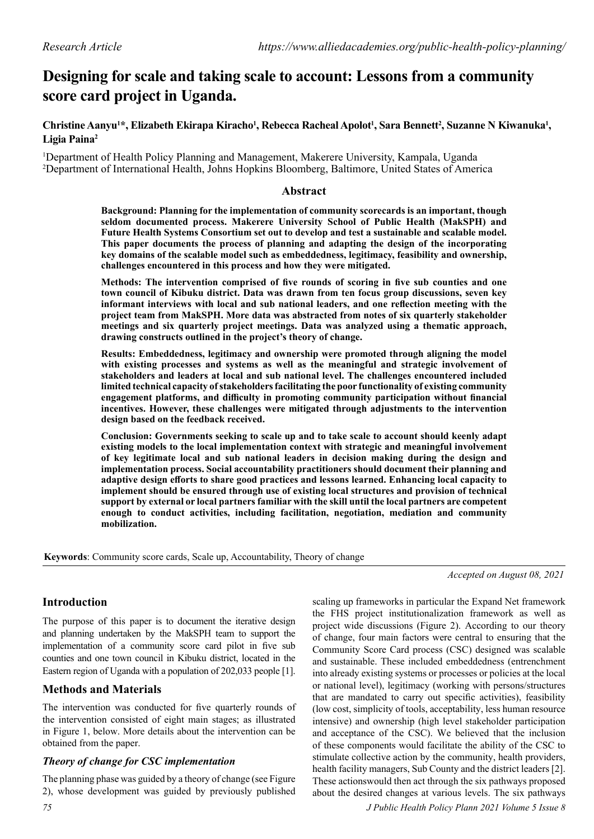# **Designing for scale and taking scale to account: Lessons from a community score card project in Uganda.**

Christine Aanyu<sup>1\*</sup>, Elizabeth Ekirapa Kiracho<sup>1</sup>, Rebecca Racheal Apolot<sup>1</sup>, Sara Bennett<sup>2</sup>, Suzanne N Kiwanuka<sup>1</sup>, **Ligia Paina2**

1 Department of Health Policy Planning and Management, Makerere University, Kampala, Uganda 2 Department of International Health, Johns Hopkins Bloomberg, Baltimore, United States of America

## **Abstract**

**Background: Planning for the implementation of community scorecards is an important, though seldom documented process. Makerere University School of Public Health (MakSPH) and Future Health Systems Consortium set out to develop and test a sustainable and scalable model. This paper documents the process of planning and adapting the design of the incorporating key domains of the scalable model such as embeddedness, legitimacy, feasibility and ownership, challenges encountered in this process and how they were mitigated.**

**Methods: The intervention comprised of five rounds of scoring in five sub counties and one town council of Kibuku district. Data was drawn from ten focus group discussions, seven key informant interviews with local and sub national leaders, and one reflection meeting with the project team from MakSPH. More data was abstracted from notes of six quarterly stakeholder meetings and six quarterly project meetings. Data was analyzed using a thematic approach, drawing constructs outlined in the project's theory of change.**

**Results: Embeddedness, legitimacy and ownership were promoted through aligning the model with existing processes and systems as well as the meaningful and strategic involvement of stakeholders and leaders at local and sub national level. The challenges encountered included limited technical capacity of stakeholders facilitating the poor functionality of existing community engagement platforms, and difficulty in promoting community participation without financial incentives. However, these challenges were mitigated through adjustments to the intervention design based on the feedback received.**

**Conclusion: Governments seeking to scale up and to take scale to account should keenly adapt existing models to the local implementation context with strategic and meaningful involvement of key legitimate local and sub national leaders in decision making during the design and implementation process. Social accountability practitioners should document their planning and adaptive design efforts to share good practices and lessons learned. Enhancing local capacity to implement should be ensured through use of existing local structures and provision of technical support by external or local partners familiar with the skill until the local partners are competent enough to conduct activities, including facilitation, negotiation, mediation and community mobilization.**

**Keywords**: Community score cards, Scale up, Accountability, Theory of change

*Accepted on August 08, 2021*

# **Introduction**

The purpose of this paper is to document the iterative design and planning undertaken by the MakSPH team to support the implementation of a community score card pilot in five sub counties and one town council in Kibuku district, located in the Eastern region of Uganda with a population of 202,033 people [1].

# **Methods and Materials**

The intervention was conducted for five quarterly rounds of the intervention consisted of eight main stages; as illustrated in Figure 1, below. More details about the intervention can be obtained from the paper.

## *Theory of change for CSC implementation*

The planning phase was guided by a theory of change (see Figure 2), whose development was guided by previously published

*75 J Public Health Policy Plann 2021 Volume 5 Issue 8*

scaling up frameworks in particular the Expand Net framework the FHS project institutionalization framework as well as project wide discussions (Figure 2). According to our theory of change, four main factors were central to ensuring that the Community Score Card process (CSC) designed was scalable and sustainable. These included embeddedness (entrenchment into already existing systems or processes or policies at the local or national level), legitimacy (working with persons/structures that are mandated to carry out specific activities), feasibility (low cost, simplicity of tools, acceptability, less human resource intensive) and ownership (high level stakeholder participation and acceptance of the CSC). We believed that the inclusion of these components would facilitate the ability of the CSC to stimulate collective action by the community, health providers, health facility managers, Sub County and the district leaders [2]. These actionswould then act through the six pathways proposed about the desired changes at various levels. The six pathways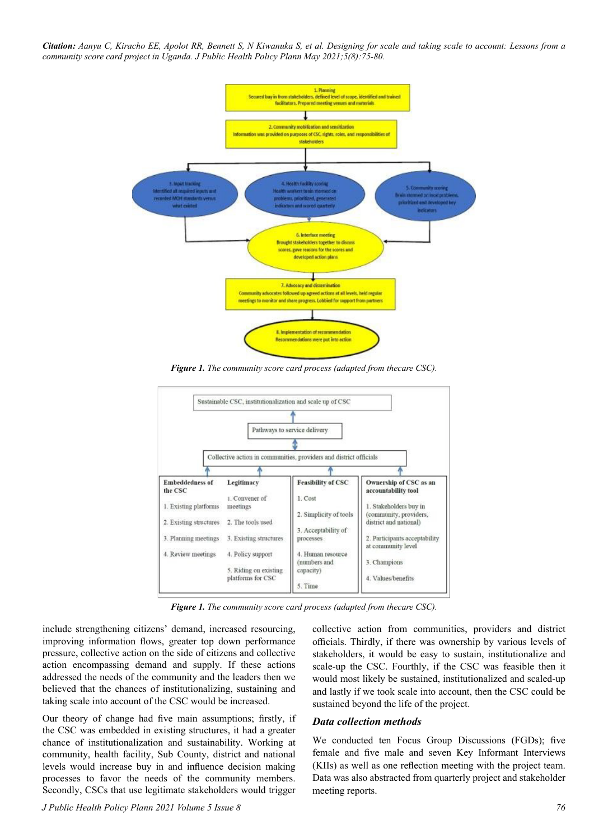*Citation: Aanyu C, Kiracho EE, Apolot RR, Bennett S, N Kiwanuka S, et al. Designing for scale and taking scale to account: Lessons from a community score card project in Uganda. J Public Health Policy Plann May 2021;5(8):75-80.*



*Figure 1. The community score card process (adapted from thecare CSC).*



*Figure 1. The community score card process (adapted from thecare CSC).*

include strengthening citizens' demand, increased resourcing, improving information flows, greater top down performance pressure, collective action on the side of citizens and collective action encompassing demand and supply. If these actions addressed the needs of the community and the leaders then we believed that the chances of institutionalizing, sustaining and taking scale into account of the CSC would be increased.

Our theory of change had five main assumptions; firstly, if the CSC was embedded in existing structures, it had a greater chance of institutionalization and sustainability. Working at community, health facility, Sub County, district and national levels would increase buy in and influence decision making processes to favor the needs of the community members. Secondly, CSCs that use legitimate stakeholders would trigger

collective action from communities, providers and district officials. Thirdly, if there was ownership by various levels of stakeholders, it would be easy to sustain, institutionalize and scale-up the CSC. Fourthly, if the CSC was feasible then it would most likely be sustained, institutionalized and scaled-up and lastly if we took scale into account, then the CSC could be sustained beyond the life of the project.

#### *Data collection methods*

We conducted ten Focus Group Discussions (FGDs); five female and five male and seven Key Informant Interviews (KIIs) as well as one reflection meeting with the project team. Data was also abstracted from quarterly project and stakeholder meeting reports.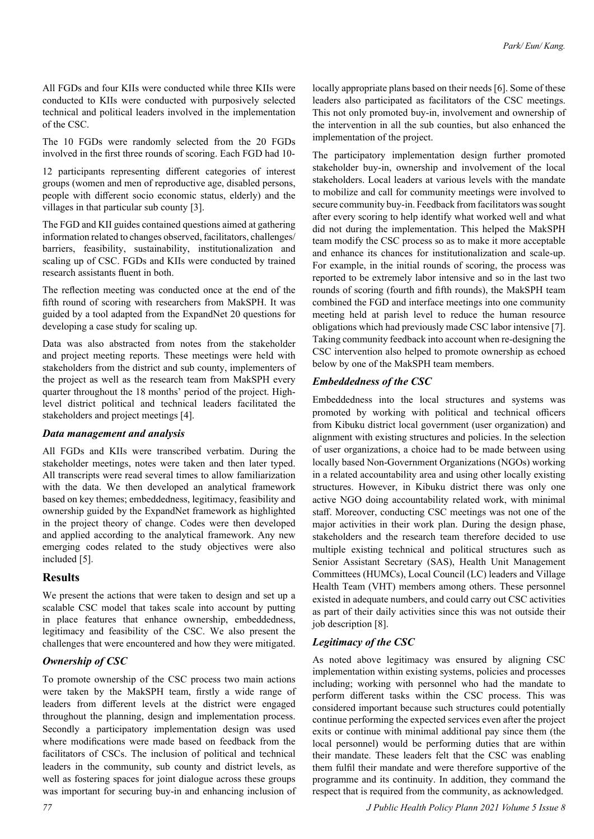All FGDs and four KIIs were conducted while three KIIs were conducted to KIIs were conducted with purposively selected technical and political leaders involved in the implementation of the CSC.

The 10 FGDs were randomly selected from the 20 FGDs involved in the first three rounds of scoring. Each FGD had 10-

12 participants representing different categories of interest groups (women and men of reproductive age, disabled persons, people with different socio economic status, elderly) and the villages in that particular sub county [3].

The FGD and KII guides contained questions aimed at gathering information related to changes observed, facilitators, challenges/ barriers, feasibility, sustainability, institutionalization and scaling up of CSC. FGDs and KIIs were conducted by trained research assistants fluent in both.

The reflection meeting was conducted once at the end of the fifth round of scoring with researchers from MakSPH. It was guided by a tool adapted from the ExpandNet 20 questions for developing a case study for scaling up.

Data was also abstracted from notes from the stakeholder and project meeting reports. These meetings were held with stakeholders from the district and sub county, implementers of the project as well as the research team from MakSPH every quarter throughout the 18 months' period of the project. Highlevel district political and technical leaders facilitated the stakeholders and project meetings [4].

#### *Data management and analysis*

All FGDs and KIIs were transcribed verbatim. During the stakeholder meetings, notes were taken and then later typed. All transcripts were read several times to allow familiarization with the data. We then developed an analytical framework based on key themes; embeddedness, legitimacy, feasibility and ownership guided by the ExpandNet framework as highlighted in the project theory of change. Codes were then developed and applied according to the analytical framework. Any new emerging codes related to the study objectives were also included [5].

#### **Results**

We present the actions that were taken to design and set up a scalable CSC model that takes scale into account by putting in place features that enhance ownership, embeddedness, legitimacy and feasibility of the CSC. We also present the challenges that were encountered and how they were mitigated.

## *Ownership of CSC*

To promote ownership of the CSC process two main actions were taken by the MakSPH team, firstly a wide range of leaders from different levels at the district were engaged throughout the planning, design and implementation process. Secondly a participatory implementation design was used where modifications were made based on feedback from the facilitators of CSCs. The inclusion of political and technical leaders in the community, sub county and district levels, as well as fostering spaces for joint dialogue across these groups was important for securing buy-in and enhancing inclusion of

locally appropriate plans based on their needs [6]. Some of these leaders also participated as facilitators of the CSC meetings. This not only promoted buy-in, involvement and ownership of the intervention in all the sub counties, but also enhanced the implementation of the project.

The participatory implementation design further promoted stakeholder buy-in, ownership and involvement of the local stakeholders. Local leaders at various levels with the mandate to mobilize and call for community meetings were involved to secure community buy-in. Feedback from facilitators was sought after every scoring to help identify what worked well and what did not during the implementation. This helped the MakSPH team modify the CSC process so as to make it more acceptable and enhance its chances for institutionalization and scale-up. For example, in the initial rounds of scoring, the process was reported to be extremely labor intensive and so in the last two rounds of scoring (fourth and fifth rounds), the MakSPH team combined the FGD and interface meetings into one community meeting held at parish level to reduce the human resource obligations which had previously made CSC labor intensive [7]. Taking community feedback into account when re-designing the CSC intervention also helped to promote ownership as echoed below by one of the MakSPH team members.

#### *Embeddedness of the CSC*

Embeddedness into the local structures and systems was promoted by working with political and technical officers from Kibuku district local government (user organization) and alignment with existing structures and policies. In the selection of user organizations, a choice had to be made between using locally based Non-Government Organizations (NGOs) working in a related accountability area and using other locally existing structures. However, in Kibuku district there was only one active NGO doing accountability related work, with minimal staff. Moreover, conducting CSC meetings was not one of the major activities in their work plan. During the design phase, stakeholders and the research team therefore decided to use multiple existing technical and political structures such as Senior Assistant Secretary (SAS), Health Unit Management Committees (HUMCs), Local Council (LC) leaders and Village Health Team (VHT) members among others. These personnel existed in adequate numbers, and could carry out CSC activities as part of their daily activities since this was not outside their job description [8].

#### *Legitimacy of the CSC*

As noted above legitimacy was ensured by aligning CSC implementation within existing systems, policies and processes including; working with personnel who had the mandate to perform different tasks within the CSC process. This was considered important because such structures could potentially continue performing the expected services even after the project exits or continue with minimal additional pay since them (the local personnel) would be performing duties that are within their mandate. These leaders felt that the CSC was enabling them fulfil their mandate and were therefore supportive of the programme and its continuity. In addition, they command the respect that is required from the community, as acknowledged.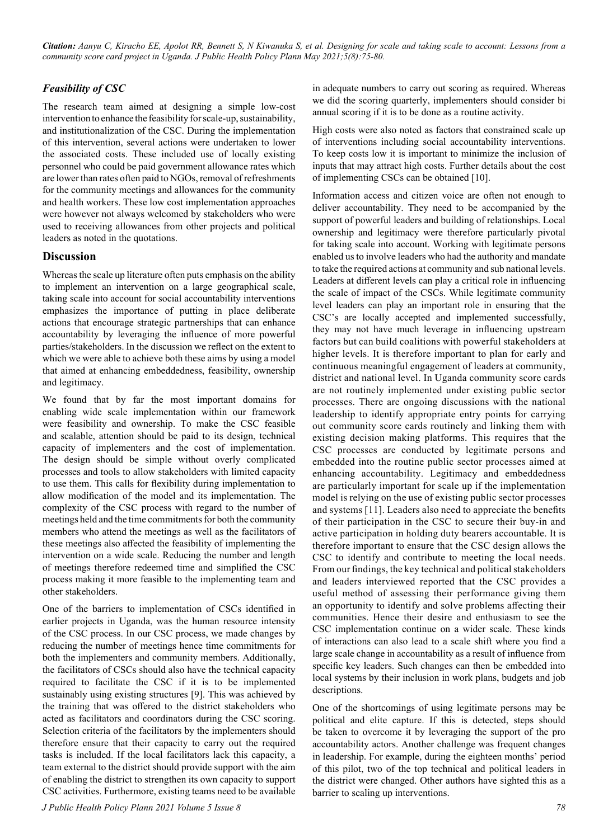*Citation: Aanyu C, Kiracho EE, Apolot RR, Bennett S, N Kiwanuka S, et al. Designing for scale and taking scale to account: Lessons from a community score card project in Uganda. J Public Health Policy Plann May 2021;5(8):75-80.*

# *Feasibility of CSC*

The research team aimed at designing a simple low-cost intervention to enhance the feasibility for scale-up, sustainability, and institutionalization of the CSC. During the implementation of this intervention, several actions were undertaken to lower the associated costs. These included use of locally existing personnel who could be paid government allowance rates which are lower than rates often paid to NGOs, removal of refreshments for the community meetings and allowances for the community and health workers. These low cost implementation approaches were however not always welcomed by stakeholders who were used to receiving allowances from other projects and political leaders as noted in the quotations.

## **Discussion**

Whereas the scale up literature often puts emphasis on the ability to implement an intervention on a large geographical scale, taking scale into account for social accountability interventions emphasizes the importance of putting in place deliberate actions that encourage strategic partnerships that can enhance accountability by leveraging the influence of more powerful parties/stakeholders. In the discussion we reflect on the extent to which we were able to achieve both these aims by using a model that aimed at enhancing embeddedness, feasibility, ownership and legitimacy.

We found that by far the most important domains for enabling wide scale implementation within our framework were feasibility and ownership. To make the CSC feasible and scalable, attention should be paid to its design, technical capacity of implementers and the cost of implementation. The design should be simple without overly complicated processes and tools to allow stakeholders with limited capacity to use them. This calls for flexibility during implementation to allow modification of the model and its implementation. The complexity of the CSC process with regard to the number of meetings held and the time commitments for both the community members who attend the meetings as well as the facilitators of these meetings also affected the feasibility of implementing the intervention on a wide scale. Reducing the number and length of meetings therefore redeemed time and simplified the CSC process making it more feasible to the implementing team and other stakeholders.

One of the barriers to implementation of CSCs identified in earlier projects in Uganda, was the human resource intensity of the CSC process. In our CSC process, we made changes by reducing the number of meetings hence time commitments for both the implementers and community members. Additionally, the facilitators of CSCs should also have the technical capacity required to facilitate the CSC if it is to be implemented sustainably using existing structures [9]. This was achieved by the training that was offered to the district stakeholders who acted as facilitators and coordinators during the CSC scoring. Selection criteria of the facilitators by the implementers should therefore ensure that their capacity to carry out the required tasks is included. If the local facilitators lack this capacity, a team external to the district should provide support with the aim of enabling the district to strengthen its own capacity to support CSC activities. Furthermore, existing teams need to be available

in adequate numbers to carry out scoring as required. Whereas we did the scoring quarterly, implementers should consider bi annual scoring if it is to be done as a routine activity.

High costs were also noted as factors that constrained scale up of interventions including social accountability interventions. To keep costs low it is important to minimize the inclusion of inputs that may attract high costs. Further details about the cost of implementing CSCs can be obtained [10].

Information access and citizen voice are often not enough to deliver accountability. They need to be accompanied by the support of powerful leaders and building of relationships. Local ownership and legitimacy were therefore particularly pivotal for taking scale into account. Working with legitimate persons enabled us to involve leaders who had the authority and mandate to take the required actions at community and sub national levels. Leaders at different levels can play a critical role in influencing the scale of impact of the CSCs. While legitimate community level leaders can play an important role in ensuring that the CSC's are locally accepted and implemented successfully, they may not have much leverage in influencing upstream factors but can build coalitions with powerful stakeholders at higher levels. It is therefore important to plan for early and continuous meaningful engagement of leaders at community, district and national level. In Uganda community score cards are not routinely implemented under existing public sector processes. There are ongoing discussions with the national leadership to identify appropriate entry points for carrying out community score cards routinely and linking them with existing decision making platforms. This requires that the CSC processes are conducted by legitimate persons and embedded into the routine public sector processes aimed at enhancing accountability. Legitimacy and embeddedness are particularly important for scale up if the implementation model is relying on the use of existing public sector processes and systems [11]. Leaders also need to appreciate the benefits of their participation in the CSC to secure their buy-in and active participation in holding duty bearers accountable. It is therefore important to ensure that the CSC design allows the CSC to identify and contribute to meeting the local needs. From our findings, the key technical and political stakeholders and leaders interviewed reported that the CSC provides a useful method of assessing their performance giving them an opportunity to identify and solve problems affecting their communities. Hence their desire and enthusiasm to see the CSC implementation continue on a wider scale. These kinds of interactions can also lead to a scale shift where you find a large scale change in accountability as a result of influence from specific key leaders. Such changes can then be embedded into local systems by their inclusion in work plans, budgets and job descriptions.

One of the shortcomings of using legitimate persons may be political and elite capture. If this is detected, steps should be taken to overcome it by leveraging the support of the pro accountability actors. Another challenge was frequent changes in leadership. For example, during the eighteen months' period of this pilot, two of the top technical and political leaders in the district were changed. Other authors have sighted this as a barrier to scaling up interventions.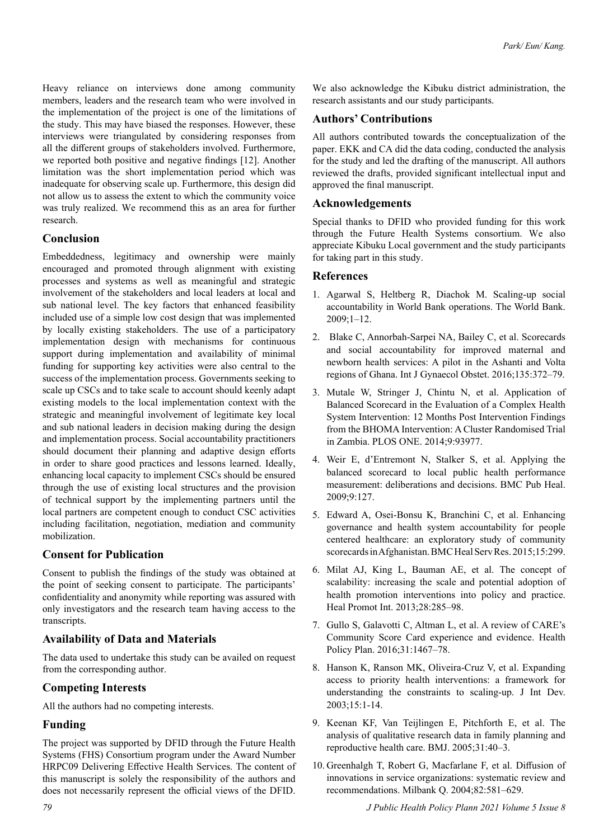Heavy reliance on interviews done among community members, leaders and the research team who were involved in the implementation of the project is one of the limitations of the study. This may have biased the responses. However, these interviews were triangulated by considering responses from all the different groups of stakeholders involved. Furthermore, we reported both positive and negative findings [12]. Another limitation was the short implementation period which was inadequate for observing scale up. Furthermore, this design did not allow us to assess the extent to which the community voice was truly realized. We recommend this as an area for further research.

## **Conclusion**

Embeddedness, legitimacy and ownership were mainly encouraged and promoted through alignment with existing processes and systems as well as meaningful and strategic involvement of the stakeholders and local leaders at local and sub national level. The key factors that enhanced feasibility included use of a simple low cost design that was implemented by locally existing stakeholders. The use of a participatory implementation design with mechanisms for continuous support during implementation and availability of minimal funding for supporting key activities were also central to the success of the implementation process. Governments seeking to scale up CSCs and to take scale to account should keenly adapt existing models to the local implementation context with the strategic and meaningful involvement of legitimate key local and sub national leaders in decision making during the design and implementation process. Social accountability practitioners should document their planning and adaptive design efforts in order to share good practices and lessons learned. Ideally, enhancing local capacity to implement CSCs should be ensured through the use of existing local structures and the provision of technical support by the implementing partners until the local partners are competent enough to conduct CSC activities including facilitation, negotiation, mediation and community mobilization.

## **Consent for Publication**

Consent to publish the findings of the study was obtained at the point of seeking consent to participate. The participants' confidentiality and anonymity while reporting was assured with only investigators and the research team having access to the transcripts.

## **Availability of Data and Materials**

The data used to undertake this study can be availed on request from the corresponding author.

## **Competing Interests**

All the authors had no competing interests.

## **Funding**

The project was supported by DFID through the Future Health Systems (FHS) Consortium program under the Award Number HRPC09 Delivering Effective Health Services. The content of this manuscript is solely the responsibility of the authors and does not necessarily represent the official views of the DFID.

We also acknowledge the Kibuku district administration, the research assistants and our study participants.

# **Authors' Contributions**

All authors contributed towards the conceptualization of the paper. EKK and CA did the data coding, conducted the analysis for the study and led the drafting of the manuscript. All authors reviewed the drafts, provided significant intellectual input and approved the final manuscript.

## **Acknowledgements**

Special thanks to DFID who provided funding for this work through the Future Health Systems consortium. We also appreciate Kibuku Local government and the study participants for taking part in this study.

#### **References**

- 1. Agarwal S, Heltberg R, Diachok M. Scaling-up social accountability in World Bank operations. The World Bank. 2009;1–12.
- 2. Blake C, Annorbah-Sarpei NA, Bailey C, et al. Scorecards and social accountability for improved maternal and newborn health services: A pilot in the Ashanti and Volta regions of Ghana. Int J Gynaecol Obstet. 2016;135:372–79.
- 3. [Mutale W, Stringer J, Chintu N, et al. Application of](http://dx.doi.org/10.1371/journal.pone.0093977)  [Balanced Scorecard in the Evaluation of a Complex Health](http://dx.doi.org/10.1371/journal.pone.0093977)  [System Intervention: 12 Months Post Intervention Findings](http://dx.doi.org/10.1371/journal.pone.0093977)  [from the BHOMA Intervention: A Cluster Randomised Trial](http://dx.doi.org/10.1371/journal.pone.0093977)  [in Zambia. PLOS ONE. 2014;9:93977.](http://dx.doi.org/10.1371/journal.pone.0093977)
- 4. [Weir E, d'Entremont N, Stalker S, et al. Applying the](http://dx.doi.org/10.1186/1471-2458-9-127)  [balanced scorecard to local public health performance](http://dx.doi.org/10.1186/1471-2458-9-127)  [measurement: deliberations and decisions. BMC Pub Heal.](http://dx.doi.org/10.1186/1471-2458-9-127)  [2009;9:127.](http://dx.doi.org/10.1186/1471-2458-9-127)
- 5. [Edward A, Osei-Bonsu K, Branchini C, et al. Enhancing](http://dx.doi.org/10.1186/s12913-015-0946-5)  [governance and health system accountability for people](http://dx.doi.org/10.1186/s12913-015-0946-5)  [centered healthcare: an exploratory study of community](http://dx.doi.org/10.1186/s12913-015-0946-5)  [scorecards in Afghanistan. BMC Heal Serv Res. 2015;15:299.](http://dx.doi.org/10.1186/s12913-015-0946-5)
- 6. [Milat AJ, King L, Bauman AE, et al. The concept of](http://dx.doi.org/10.1093/heapro/dar097)  [scalability: increasing the scale and potential adoption of](http://dx.doi.org/10.1093/heapro/dar097)  [health promotion interventions into policy and practice.](http://dx.doi.org/10.1093/heapro/dar097)  [Heal Promot Int. 2013;28:285–98.](http://dx.doi.org/10.1093/heapro/dar097)
- 7. [Gullo S, Galavotti C, Altman L, et al. A review of CARE's](http://dx.doi.org/10.1093/heapol/czw064)  [Community Score Card experience and evidence. Health](http://dx.doi.org/10.1093/heapol/czw064)  [Policy Plan. 2016;31:1467–78.](http://dx.doi.org/10.1093/heapol/czw064)
- 8. [Hanson K, Ranson MK, Oliveira-Cruz V, et al. Expanding](http://dx.doi.org/10.1002/jid.963)  [access to priority health interventions: a framework for](http://dx.doi.org/10.1002/jid.963)  [understanding the constraints to scaling-up. J Int Dev.](http://dx.doi.org/10.1002/jid.963)  [2003;15:1-14.](http://dx.doi.org/10.1002/jid.963)
- 9. [Keenan KF, Van Teijlingen E, Pitchforth E, et al. The](http://dx.doi.org/10.1783/0000000052972825)  [analysis of qualitative research data in family planning and](http://dx.doi.org/10.1783/0000000052972825)  [reproductive health care. BMJ. 2005;31:40–3.](http://dx.doi.org/10.1783/0000000052972825)
- 10. [Greenhalgh T, Robert G, Macfarlane F, et al. Diffusion of](http://dx.doi.org/10.1111/j.0887-378X.2004.00325.x)  [innovations in service organizations: systematic review and](http://dx.doi.org/10.1111/j.0887-378X.2004.00325.x)  [recommendations. Milbank Q. 2004;82:581–629.](http://dx.doi.org/10.1111/j.0887-378X.2004.00325.x)